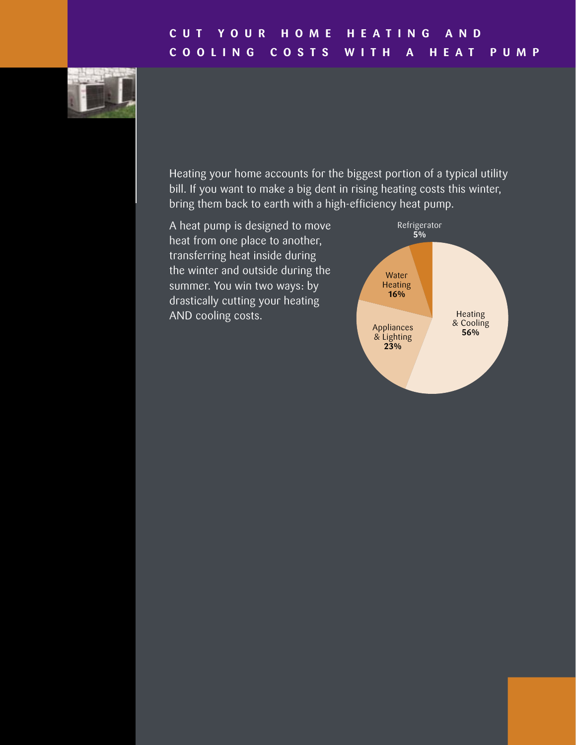# **C U T Y O U R H O M E H E A T I N G A N D C O O L I N G C O S T S W I T H A H E A T P U M P**



Heating your home accounts for the biggest portion of a typical utility bill. If you want to make a big dent in rising heating costs this winter, bring them back to earth with a high-efficiency heat pump.

A heat pump is designed to move heat from one place to another, transferring heat inside during the winter and outside during the summer. You win two ways: by drastically cutting your heating AND cooling costs.

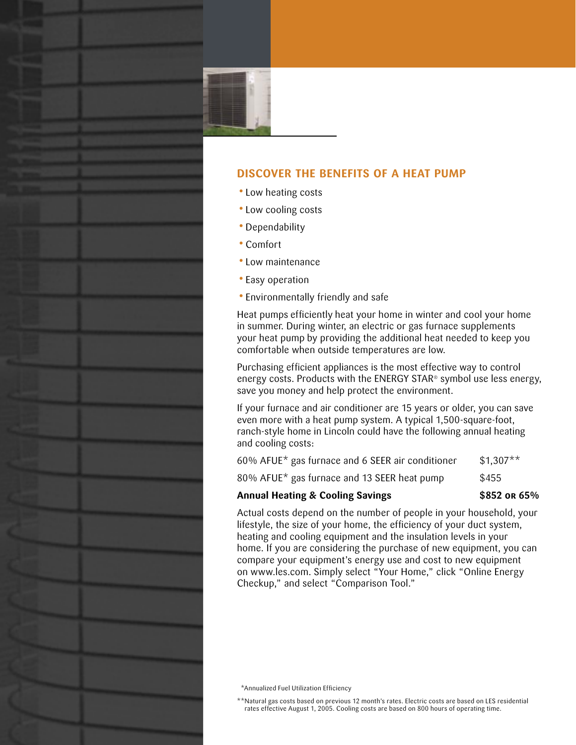# **DISCOVER THE BENEFITS OF A HEAT PUMP**

- Low heating costs
- Low cooling costs
- Dependability
- Comfort
- Low maintenance
- Easy operation
- Environmentally friendly and safe

Heat pumps efficiently heat your home in winter and cool your home in summer. During winter, an electric or gas furnace supplements your heat pump by providing the additional heat needed to keep you comfortable when outside temperatures are low.

Purchasing efficient appliances is the most effective way to control energy costs. Products with the ENERGY STAR® symbol use less energy, save you money and help protect the environment.

If your furnace and air conditioner are 15 years or older, you can save even more with a heat pump system. A typical 1,500-square-foot, ranch-style home in Lincoln could have the following annual heating and cooling costs:

| 60% AFUE* gas furnace and 6 SEER air conditioner | $$1,307**$ |
|--------------------------------------------------|------------|
|--------------------------------------------------|------------|

 $80\%$  AFUE\* gas furnace and 13 SEER heat pump \$455

# **Annual Heating & Cooling Savings \$852 or 65%**

Actual costs depend on the number of people in your household, your lifestyle, the size of your home, the efficiency of your duct system, heating and cooling equipment and the insulation levels in your home. If you are considering the purchase of new equipment, you can compare your equipment's energy use and cost to new equipment on www.les.com. Simply select "Your Home," click "Online Energy Checkup," and select "Comparison Tool."

\*\*Annualized Fuel Utilization Efficiency

\*\* Natural gas costs based on previous 12 month's rates. Electric costs are based on LES residential rates effective August 1, 2005. Cooling costs are based on 800 hours of operating time.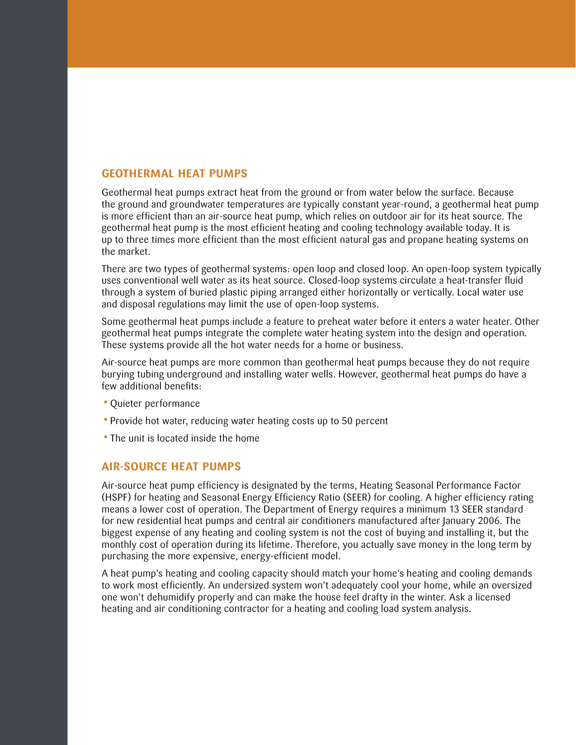#### **GEOTHERMAL HEAT PUMPS**

Geothermal heat pumps extract heat from the ground or from water below the surface. Because the ground and groundwater temperatures are typically constant year-round, a geothermal heat pump is more efficient than an air-source heat pump, which relies on outdoor air for its heat source. The geothermal heat pump is the most efficient heating and cooling technology available today. It is up to three times more efficient than the most efficient natural gas and propane heating systems on the market.

There are two types of geothermal systems: open loop and closed loop. An open-loop system typically uses conventional well water as its heat source. Closed-loop systems circulate a heat-transfer fluid through a system of buried plastic piping arranged either horizontally or vertically. Local water use and disposal regulations may limit the use of open-loop systems.

Some geothermal heat pumps include a feature to preheat water before it enters a water heater. Other geothermal heat pumps integrate the complete water heating system into the design and operation. These systems provide all the hot water needs for a home or business.

Air-source heat pumps are more common than geothermal heat pumps because they do not require burying tubing underground and installing water wells. However, geothermal heat pumps do have a few additional benefits:

- Quieter performance
- Provide hot water, reducing water heating costs up to 50 percent
- The unit is located inside the home

# **AIR-SOURCE HEAT PUMPS**

Air-source heat pump efficiency is designated by the terms, Heating Seasonal Performance Factor (HSPF) for heating and Seasonal Energy Efficiency Ratio (SEER) for cooling. A higher efficiency rating means a lower cost of operation. The Department of Energy requires a minimum 13 SEER standard for new residential heat pumps and central air conditioners manufactured after January 2006. The biggest expense of any heating and cooling system is not the cost of buying and installing it, but the monthly cost of operation during its lifetime. Therefore, you actually save money in the long term by purchasing the more expensive, energy-efficient model.

A heat pump's heating and cooling capacity should match your home's heating and cooling demands to work most efficiently. An undersized system won't adequately cool your home, while an oversized one won't dehumidify properly and can make the house feel drafty in the winter. Ask a licensed heating and air conditioning contractor for a heating and cooling load system analysis.